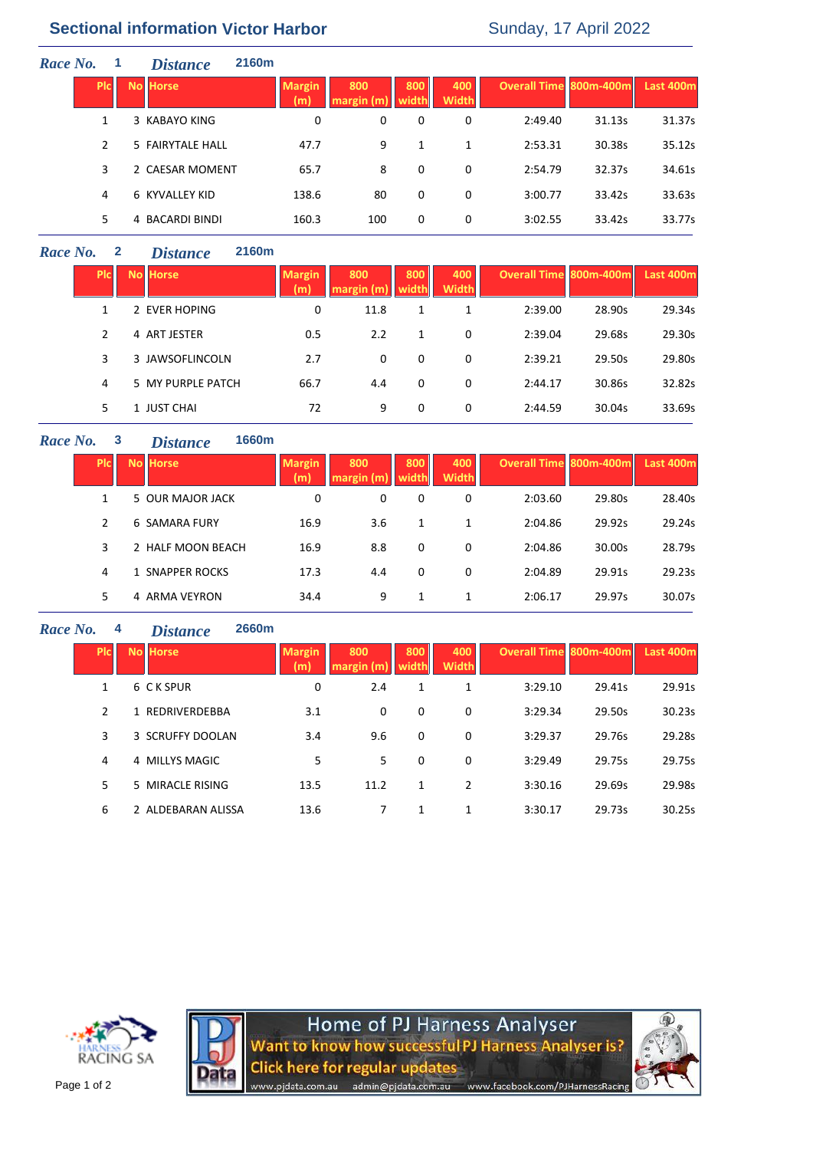# **Sectional information Victor Harbor** Sunday, 17 April 2022

| Race No. |               | -1 | <b>Distance</b>  | 2160m |                      |                   |              |                     |                        |        |                  |
|----------|---------------|----|------------------|-------|----------------------|-------------------|--------------|---------------------|------------------------|--------|------------------|
|          | <b>PIC</b>    |    | <b>No Horse</b>  |       | <b>Margin</b><br>(m) | 800<br>margin (m) | 800<br>width | 400<br><b>Width</b> | Overall Time 800m-400m |        | <b>Last 400m</b> |
|          | 1             |    | 3 KABAYO KING    |       | 0                    | 0                 | 0            | 0                   | 2:49.40                | 31.13s | 31.37s           |
|          | $\mathcal{P}$ |    | 5 FAIRYTALE HALL |       | 47.7                 | 9                 | 1            | 1                   | 2:53.31                | 30.38s | 35.12s           |
|          | 3             |    | 2 CAESAR MOMENT  |       | 65.7                 | 8                 | 0            | 0                   | 2:54.79                | 32.37s | 34.61s           |
|          | 4             |    | 6 KYVALLEY KID   |       | 138.6                | 80                | 0            | 0                   | 3:00.77                | 33.42s | 33.63s           |
|          | 5.            |    | 4 BACARDI BINDI  |       | 160.3                | 100               | 0            | 0                   | 3:02.55                | 33.42s | 33.77s           |

## *Race No.* **2** *Distance* **2160m**

| <b>PIC</b>    | <b>No Horse</b>   | <b>Margin</b><br>(m) | 800<br>margin (m | 800<br>width | 400<br><b>Width</b> | Overall Time 800m-400m |        | <b>Last 400m</b> |
|---------------|-------------------|----------------------|------------------|--------------|---------------------|------------------------|--------|------------------|
|               | 2 EVER HOPING     | 0                    | 11.8             |              | 1                   | 2:39.00                | 28.90s | 29.34s           |
| $\mathcal{P}$ | 4 ART JESTER      | 0.5                  | 2.2              | 1            | 0                   | 2:39.04                | 29.68s | 29.30s           |
| 3             | 3 JAWSOFLINCOLN   | 2.7                  | 0                | 0            | 0                   | 2:39.21                | 29.50s | 29.80s           |
| 4             | 5 MY PURPLE PATCH | 66.7                 | 4.4              | 0            | 0                   | 2:44.17                | 30.86s | 32.82s           |
| 5.            | 1 JUST CHAI       | 72                   | 9                | 0            | 0                   | 2:44.59                | 30.04s | 33.69s           |

### *Race No.* **3** *Distance* **1660m**

| <b>PIC</b>    | <b>No Horse</b>      | <b>Margin</b><br>(m) | 800<br>margin (m) | 800<br>width. | 400<br><b>Width</b> | <b>Overall Time 800m-400m</b> |        | Last 400m |
|---------------|----------------------|----------------------|-------------------|---------------|---------------------|-------------------------------|--------|-----------|
|               | 5 OUR MAJOR JACK     | 0                    | 0                 | 0             | 0                   | 2:03.60                       | 29.80s | 28.40s    |
| $\mathcal{P}$ | <b>6 SAMARA FURY</b> | 16.9                 | 3.6               |               | 1                   | 2:04.86                       | 29.92s | 29.24s    |
| 3             | 2 HALF MOON BEACH    | 16.9                 | 8.8               | 0             | 0                   | 2:04.86                       | 30.00s | 28.79s    |
| 4             | 1 SNAPPER ROCKS      | 17.3                 | 4.4               | 0             | 0                   | 2:04.89                       | 29.91s | 29.23s    |
| 5.            | 4 ARMA VEYRON        | 34.4                 | 9                 |               | 1                   | 2:06.17                       | 29.97s | 30.07s    |

## *Race No.* **4** *Distance* **2660m**

| <b>PIC</b> | <b>No Horse</b>    | <b>Margin</b><br>(m) | 800<br>margin(m) | 800<br>width | 400<br><b>Width</b> | <b>Overall Time 800m-400m</b> |        | Last 400m |
|------------|--------------------|----------------------|------------------|--------------|---------------------|-------------------------------|--------|-----------|
| 1          | 6 C K SPUR         | 0                    | 2.4              | 1            | 1                   | 3:29.10                       | 29.41s | 29.91s    |
| 2          | 1 REDRIVERDEBBA    | 3.1                  | 0                | $\Omega$     | 0                   | 3:29.34                       | 29.50s | 30.23s    |
| 3          | 3 SCRUFFY DOOLAN   | 3.4                  | 9.6              | $\Omega$     | 0                   | 3:29.37                       | 29.76s | 29.28s    |
| 4          | 4 MILLYS MAGIC     | 5                    | 5                | 0            | 0                   | 3:29.49                       | 29.75s | 29.75s    |
| 5          | 5 MIRACLE RISING   | 13.5                 | 11.2             | 1            | 2                   | 3:30.16                       | 29.69s | 29.98s    |
| 6          | 2 ALDEBARAN ALISSA | 13.6                 | 7                | 1            | 1                   | 3:30.17                       | 29.73s | 30.25s    |





Home of PJ Harness Analyser<br>Want to know how successful PJ Harness Analyser is? **Click here for regular updates** www.pjdata.com.au admin@pjdata.com.au www.facebook.com/PJHarnessRacing